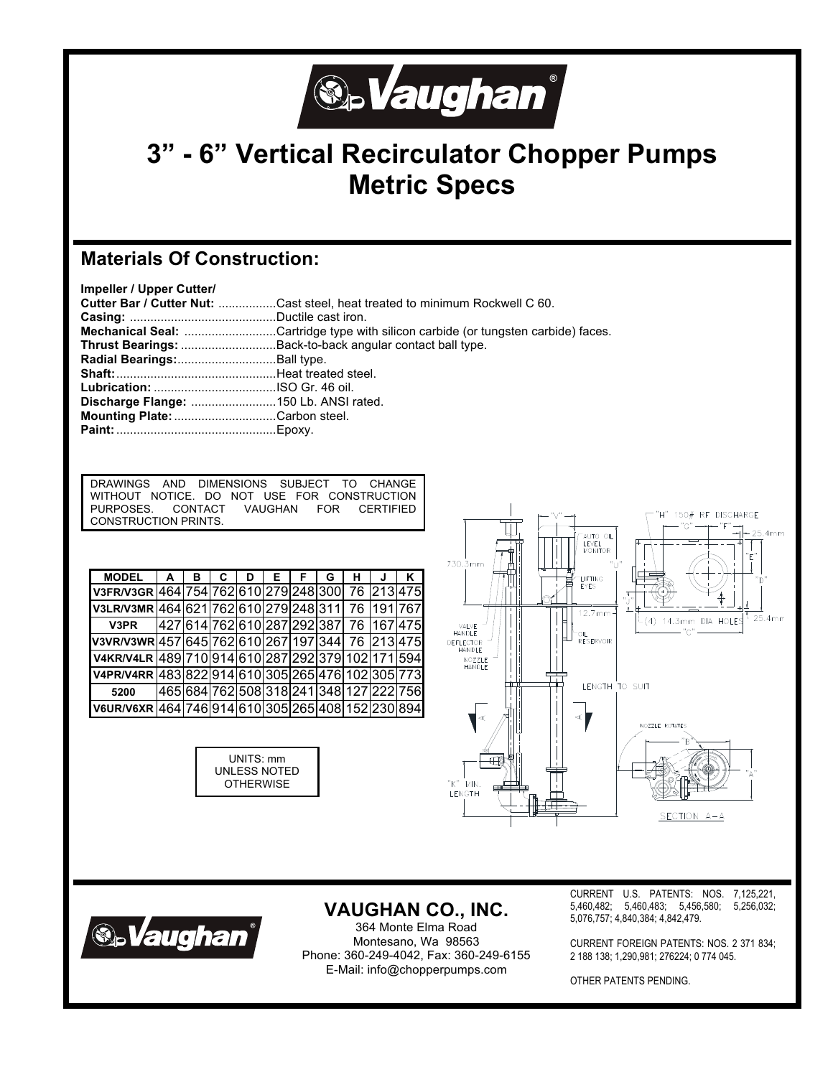

# **3" - 6" Vertical Recirculator Chopper Pumps Metric Specs**

### **Materials Of Construction:**

| Impeller / Upper Cutter/              |                                                                                    |
|---------------------------------------|------------------------------------------------------------------------------------|
|                                       | <b>Cutter Bar / Cutter Nut: Cast steel, heat treated to minimum Rockwell C 60.</b> |
|                                       |                                                                                    |
|                                       | Mechanical Seal: Cartridge type with silicon carbide (or tungsten carbide) faces.  |
|                                       | Thrust Bearings: Back-to-back angular contact ball type.                           |
| Radial Bearings: Ball type.           |                                                                                    |
|                                       |                                                                                    |
|                                       |                                                                                    |
| Discharge Flange: 150 Lb. ANSI rated. |                                                                                    |
| Mounting Plate: Carbon steel.         |                                                                                    |
|                                       |                                                                                    |

| DRAWINGS AND DIMENSIONS SUBJECT TO CHANGE |  |  |  |                                             |
|-------------------------------------------|--|--|--|---------------------------------------------|
|                                           |  |  |  | WITHOUT NOTICE. DO NOT USE FOR CONSTRUCTION |
| PURPOSES. CONTACT VAUGHAN FOR CERTIFIED   |  |  |  |                                             |
| CONSTRUCTION PRINTS.                      |  |  |  |                                             |

| <b>MODEL</b>                                       | $\mathbf{A}$ | в | C | D | E. | F. | G | н | J                                        | K |
|----------------------------------------------------|--------------|---|---|---|----|----|---|---|------------------------------------------|---|
| V3FR/V3GR 464 754 762 610 279 248 300 76 213 475   |              |   |   |   |    |    |   |   |                                          |   |
| V3LR/V3MR 464 621 762 610 279 248 311  76  191 767 |              |   |   |   |    |    |   |   |                                          |   |
| V3PR                                               |              |   |   |   |    |    |   |   | 427 614 762 610 287 292 387  76  167 475 |   |
| V3VR/V3WR 457 645 762 610 267 197 344 76 213 475   |              |   |   |   |    |    |   |   |                                          |   |
| V4KR/V4LR 489 710 914 610 287 292 379 102 171 594  |              |   |   |   |    |    |   |   |                                          |   |
| V4PR/V4RR 483 822 914 610 305 265 476 102 305 773  |              |   |   |   |    |    |   |   |                                          |   |
| 5200                                               |              |   |   |   |    |    |   |   | 465 684 762 508 318 241 348 127 222 756  |   |
| V6UR/V6XR 464 746 914 610 305 265 408 152 230 894  |              |   |   |   |    |    |   |   |                                          |   |

UNITS: mm UNLESS NOTED **OTHERWISE** 





## **VAUGHAN CO., INC.**

364 Monte Elma Road Montesano, Wa 98563 Phone: 360-249-4042, Fax: 360-249-6155 E-Mail: info@chopperpumps.com

CURRENT U.S. PATENTS: NOS. 7,125,221, 5,460,482; 5,460,483; 5,456,580; 5,256,032; 5,076,757; 4,840,384; 4,842,479.

CURRENT FOREIGN PATENTS: NOS. 2 371 834; 2 188 138; 1,290,981; 276224; 0 774 045.

OTHER PATENTS PENDING.